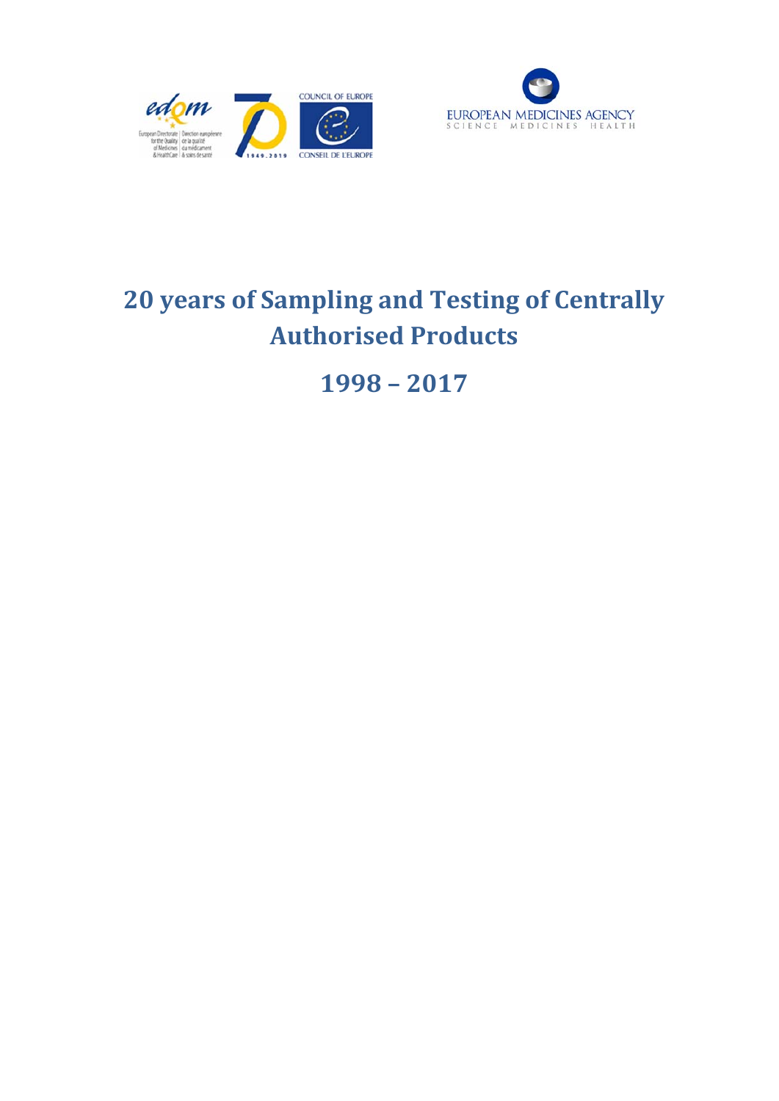



# **20 years of Sampling and Testing of Centrally Authorised Products**

**1998 – 2017**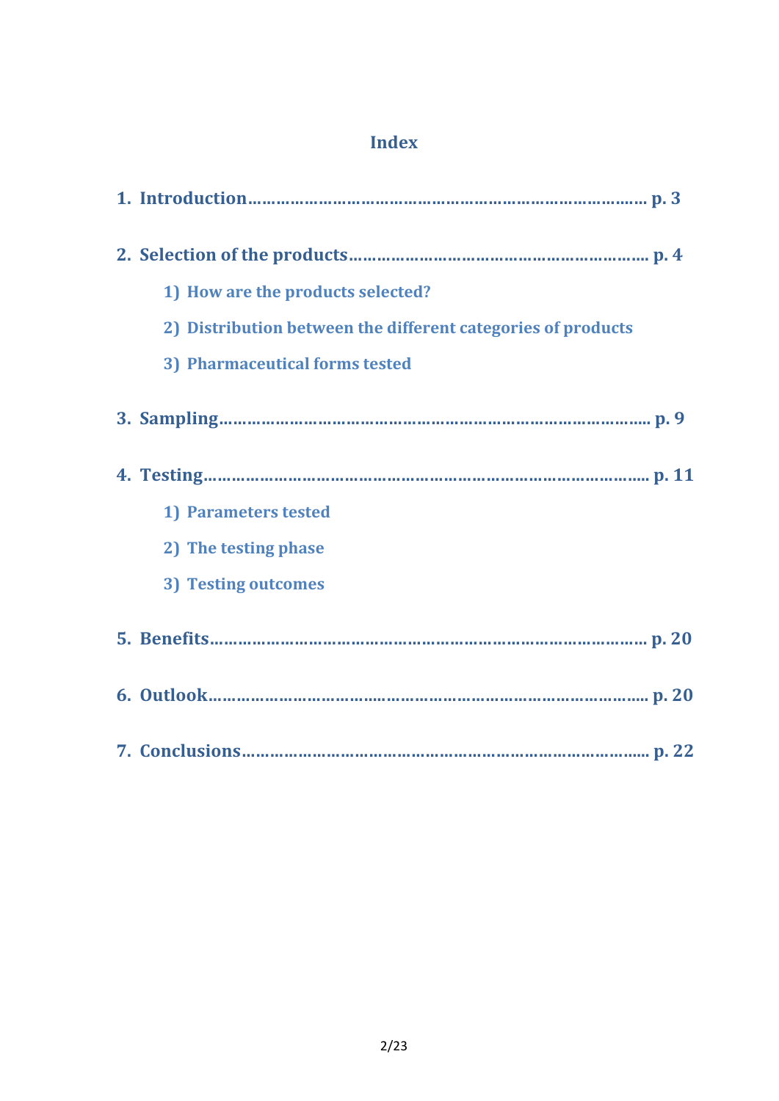# **Index**

| 1) How are the products selected?                            |
|--------------------------------------------------------------|
| 2) Distribution between the different categories of products |
| 3) Pharmaceutical forms tested                               |
|                                                              |
|                                                              |
| 1) Parameters tested                                         |
| 2) The testing phase                                         |
| 3) Testing outcomes                                          |
|                                                              |
|                                                              |
|                                                              |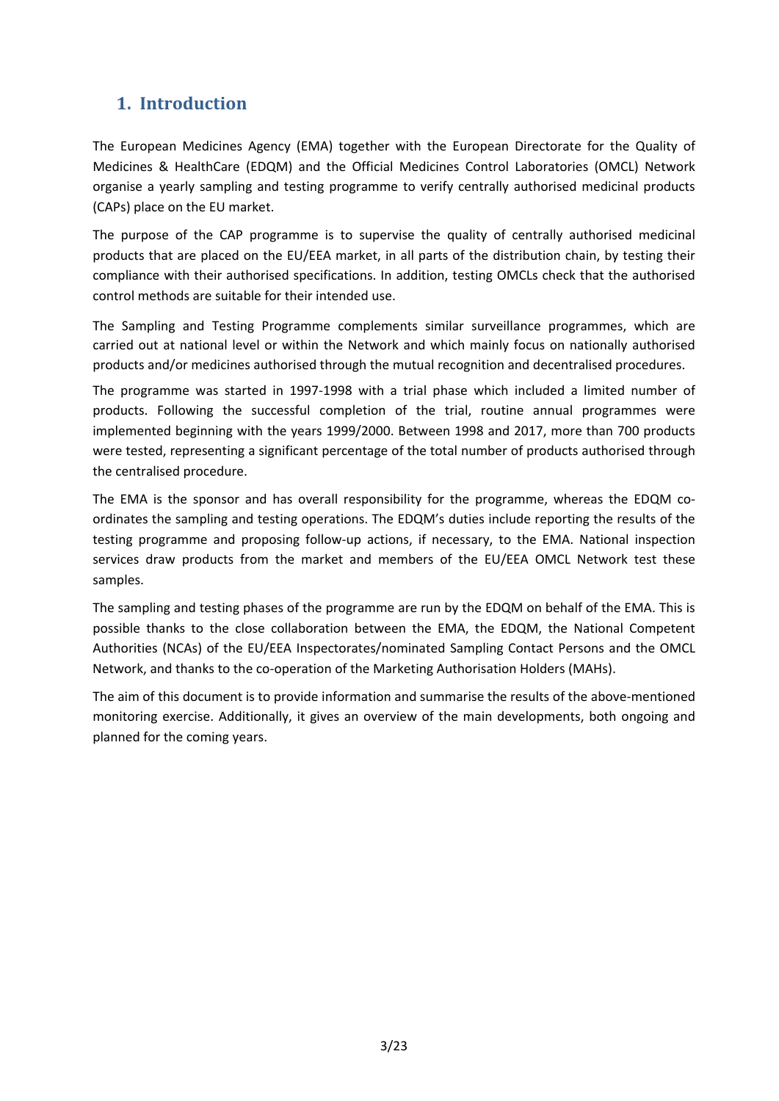# **1. Introduction**

The European Medicines Agency (EMA) together with the European Directorate for the Quality of Medicines & HealthCare (EDQM) and the Official Medicines Control Laboratories (OMCL) Network organise a yearly sampling and testing programme to verify centrally authorised medicinal products (CAPs) place on the EU market.

The purpose of the CAP programme is to supervise the quality of centrally authorised medicinal products that are placed on the EU/EEA market, in all parts of the distribution chain, by testing their compliance with their authorised specifications. In addition, testing OMCLs check that the authorised control methods are suitable for their intended use.

The Sampling and Testing Programme complements similar surveillance programmes, which are carried out at national level or within the Network and which mainly focus on nationally authorised products and/or medicines authorised through the mutual recognition and decentralised procedures.

The programme was started in 1997-1998 with a trial phase which included a limited number of products. Following the successful completion of the trial, routine annual programmes were implemented beginning with the years 1999/2000. Between 1998 and 2017, more than 700 products were tested, representing a significant percentage of the total number of products authorised through the centralised procedure.

The EMA is the sponsor and has overall responsibility for the programme, whereas the EDQM coordinates the sampling and testing operations. The EDQM's duties include reporting the results of the testing programme and proposing follow-up actions, if necessary, to the EMA. National inspection services draw products from the market and members of the EU/EEA OMCL Network test these samples.

The sampling and testing phases of the programme are run by the EDQM on behalf of the EMA. This is possible thanks to the close collaboration between the EMA, the EDQM, the National Competent Authorities (NCAs) of the EU/EEA Inspectorates/nominated Sampling Contact Persons and the OMCL Network, and thanks to the co-operation of the Marketing Authorisation Holders (MAHs).

The aim of this document is to provide information and summarise the results of the above-mentioned monitoring exercise. Additionally, it gives an overview of the main developments, both ongoing and planned for the coming years.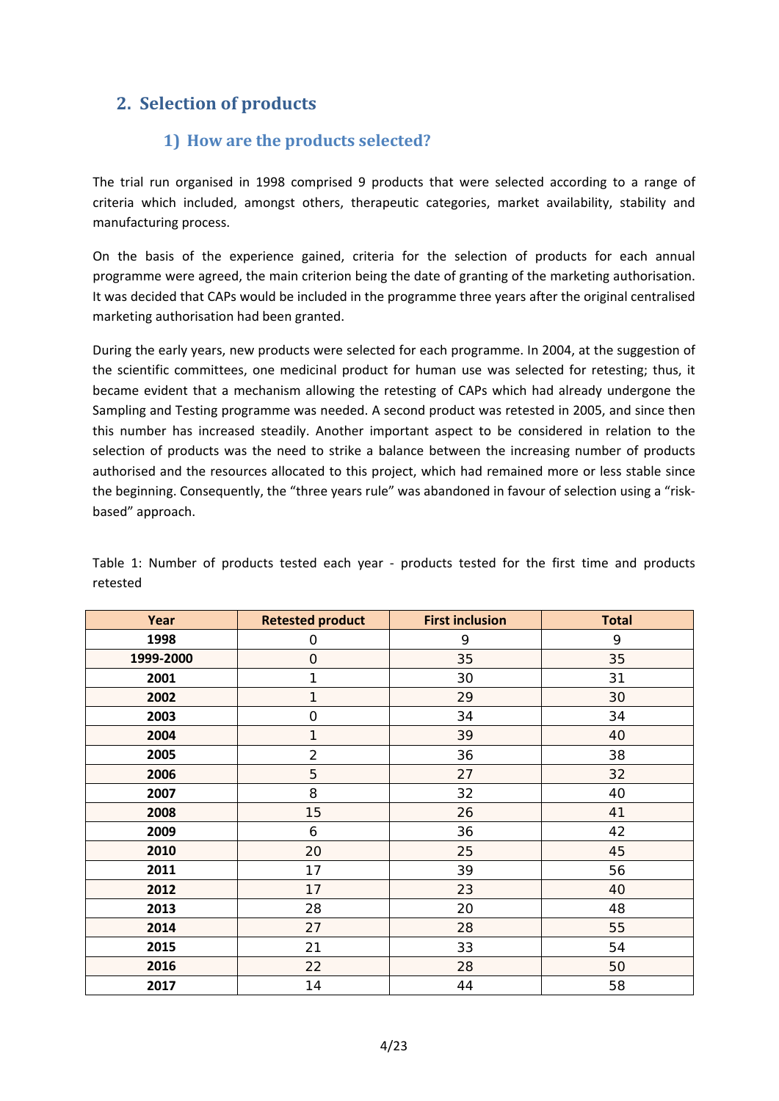# **2. Selection of products**

## **1) How are the products selected?**

The trial run organised in 1998 comprised 9 products that were selected according to a range of criteria which included, amongst others, therapeutic categories, market availability, stability and manufacturing process.

On the basis of the experience gained, criteria for the selection of products for each annual programme were agreed, the main criterion being the date of granting of the marketing authorisation. It was decided that CAPs would be included in the programme three years after the original centralised marketing authorisation had been granted.

During the early years, new products were selected for each programme. In 2004, at the suggestion of the scientific committees, one medicinal product for human use was selected for retesting; thus, it became evident that a mechanism allowing the retesting of CAPs which had already undergone the Sampling and Testing programme was needed. A second product was retested in 2005, and since then this number has increased steadily. Another important aspect to be considered in relation to the selection of products was the need to strike a balance between the increasing number of products authorised and the resources allocated to this project, which had remained more or less stable since the beginning. Consequently, the "three years rule" was abandoned in favour of selection using a "riskbased" approach.

| Year      | <b>Retested product</b> | <b>First inclusion</b> | <b>Total</b> |
|-----------|-------------------------|------------------------|--------------|
| 1998      | $\mathsf{O}\xspace$     | 9                      | 9            |
| 1999-2000 | $\overline{O}$          | 35                     | 35           |
| 2001      | 1                       | 30                     | 31           |
| 2002      | 1                       | 29                     | 30           |
| 2003      | $\mathbf 0$             | 34                     | 34           |
| 2004      | $\mathbf{1}$            | 39                     | 40           |
| 2005      | $\overline{2}$          | 36                     | 38           |
| 2006      | 5                       | 27                     | 32           |
| 2007      | 8                       | 32                     | 40           |
| 2008      | 15                      | 26                     | 41           |
| 2009      | 6                       | 36                     | 42           |
| 2010      | 20                      | 25                     | 45           |
| 2011      | 17                      | 39                     | 56           |
| 2012      | 17                      | 23                     | 40           |
| 2013      | 28                      | 20                     | 48           |
| 2014      | 27                      | 28                     | 55           |
| 2015      | 21                      | 33                     | 54           |
| 2016      | 22                      | 28                     | 50           |
| 2017      | 14                      | 44                     | 58           |

Table 1: Number of products tested each year - products tested for the first time and products retested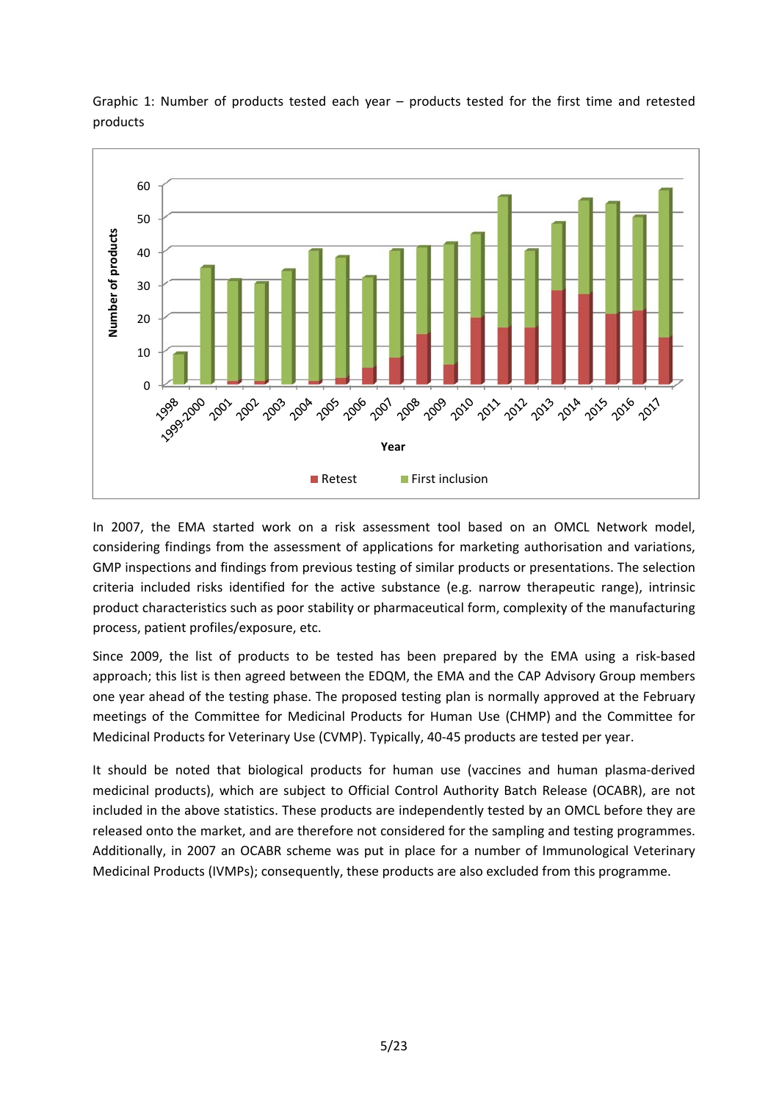

Graphic 1: Number of products tested each year – products tested for the first time and retested products

In 2007, the EMA started work on a risk assessment tool based on an OMCL Network model, considering findings from the assessment of applications for marketing authorisation and variations, GMP inspections and findings from previous testing of similar products or presentations. The selection criteria included risks identified for the active substance (e.g. narrow therapeutic range), intrinsic product characteristics such as poor stability or pharmaceutical form, complexity of the manufacturing process, patient profiles/exposure, etc.

Since 2009, the list of products to be tested has been prepared by the EMA using a risk-based approach; this list is then agreed between the EDQM, the EMA and the CAP Advisory Group members one year ahead of the testing phase. The proposed testing plan is normally approved at the February meetings of the Committee for Medicinal Products for Human Use (CHMP) and the Committee for Medicinal Products for Veterinary Use (CVMP). Typically, 40-45 products are tested per year.

It should be noted that biological products for human use (vaccines and human plasma-derived medicinal products), which are subject to Official Control Authority Batch Release (OCABR), are not included in the above statistics. These products are independently tested by an OMCL before they are released onto the market, and are therefore not considered for the sampling and testing programmes. Additionally, in 2007 an OCABR scheme was put in place for a number of Immunological Veterinary Medicinal Products (IVMPs); consequently, these products are also excluded from this programme.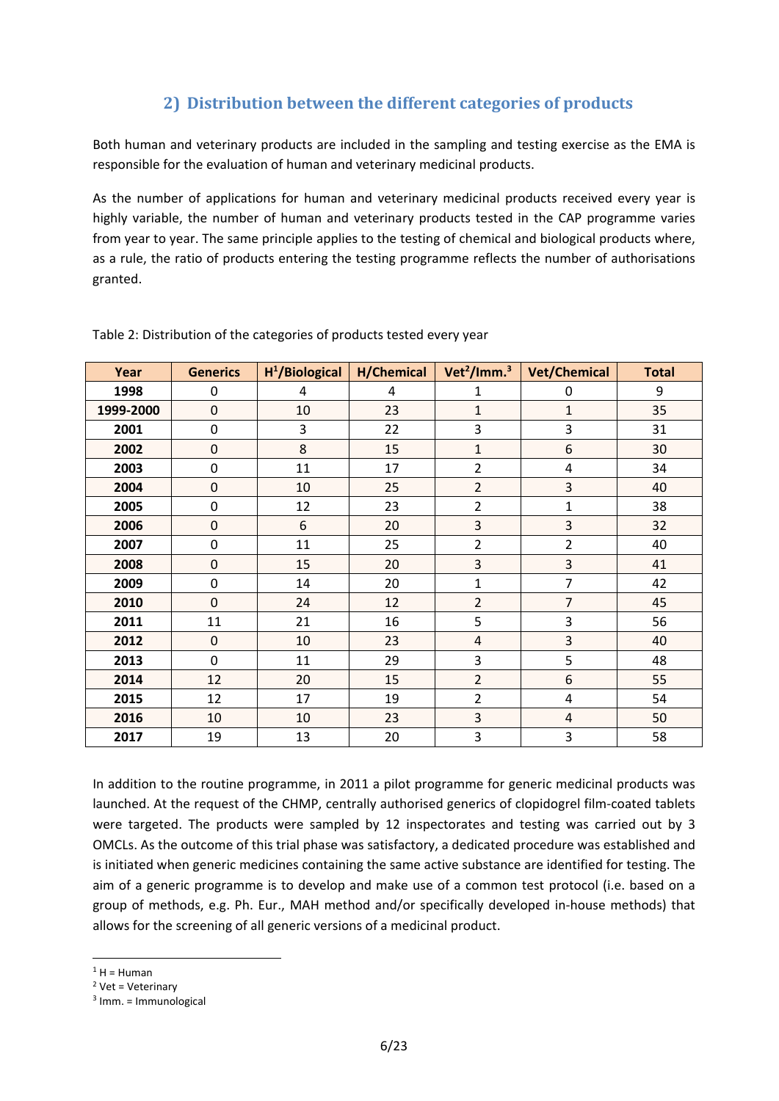## **2) Distribution between the different categories of products**

Both human and veterinary products are included in the sampling and testing exercise as the EMA is responsible for the evaluation of human and veterinary medicinal products.

As the number of applications for human and veterinary medicinal products received every year is highly variable, the number of human and veterinary products tested in the CAP programme varies from year to year. The same principle applies to the testing of chemical and biological products where, as a rule, the ratio of products entering the testing programme reflects the number of authorisations granted.

| Year      | <b>Generics</b> | $H^1/B$ iological | H/Chemical | Vet <sup>2</sup> /Imm. $3$ | <b>Vet/Chemical</b> | <b>Total</b> |  |
|-----------|-----------------|-------------------|------------|----------------------------|---------------------|--------------|--|
| 1998      | 0               | 4                 | 4          | 1                          | 0                   | 9            |  |
| 1999-2000 | 0               | 10                | 23         | $\overline{1}$             | $\mathbf{1}$        | 35           |  |
| 2001      | 0               | 3                 | 22         | 3                          | 3                   | 31           |  |
| 2002      | 0               | 8                 | 15         | $\overline{1}$             | 6                   | 30           |  |
| 2003      | 0               | 11                | 17         | 2                          | $\overline{4}$      | 34           |  |
| 2004      | 0               | 10                | 25         | $\overline{2}$             | 3                   | 40           |  |
| 2005      | 0               | 12                | 23         | $\overline{2}$             | $\mathbf 1$         | 38           |  |
| 2006      | 0               | 6                 | 20         | 3                          | 3                   | 32           |  |
| 2007      | 0               | 11                | 25         | $\overline{2}$             | $\overline{2}$      | 40           |  |
| 2008      | 0               | 15                | 20         | 3                          | 3                   | 41           |  |
| 2009      | 0               | 14                | 20         | $\mathbf 1$                | $\overline{7}$      | 42           |  |
| 2010      | 0               | 24                | 12         | $\overline{2}$             | $\overline{7}$      | 45           |  |
| 2011      | 11              | 21                | 16         | 5                          | 3                   | 56           |  |
| 2012      | $\mathbf 0$     | 10                | 23         | $\overline{4}$             | 3                   | 40           |  |
| 2013      | 0               | 11                | 29         | 3                          | 5                   | 48           |  |
| 2014      | 12              | 20                | 15         | $\overline{2}$             | 6                   | 55           |  |
| 2015      | 12              | 17                | 19         | 2                          | $\overline{4}$      | 54           |  |
| 2016      | 10              | 10                | 23         | 3                          | 4                   | 50           |  |
| 2017      | 19              | 13                | 20         | 3                          | 3                   | 58           |  |

Table 2: Distribution of the categories of products tested every year

In addition to the routine programme, in 2011 a pilot programme for generic medicinal products was launched. At the request of the CHMP, centrally authorised generics of clopidogrel film-coated tablets were targeted. The products were sampled by 12 inspectorates and testing was carried out by 3 OMCLs. As the outcome of this trial phase was satisfactory, a dedicated procedure was established and is initiated when generic medicines containing the same active substance are identified for testing. The aim of a generic programme is to develop and make use of a common test protocol (i.e. based on a group of methods, e.g. Ph. Eur., MAH method and/or specifically developed in-house methods) that allows for the screening of all generic versions of a medicinal product.

**.** 

 $1$  H = Human

 $2$  Vet = Veterinary

 $3$  Imm. = Immunological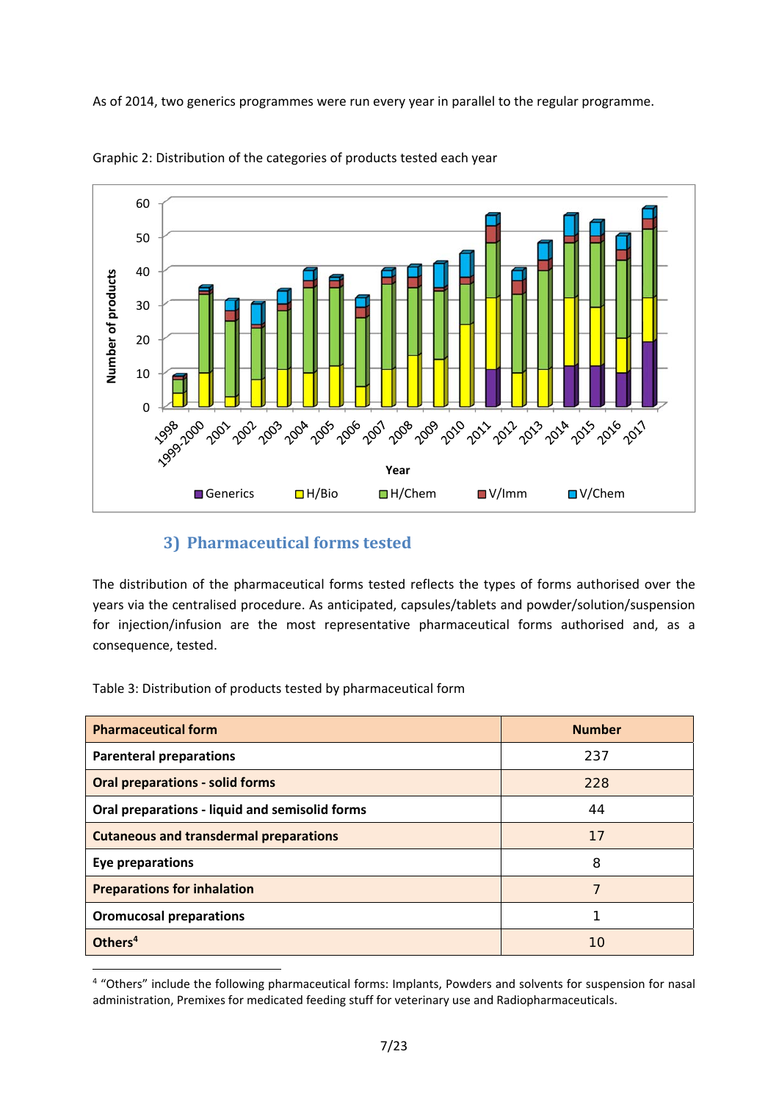As of 2014, two generics programmes were run every year in parallel to the regular programme.





## **3) Pharmaceutical forms tested**

The distribution of the pharmaceutical forms tested reflects the types of forms authorised over the years via the centralised procedure. As anticipated, capsules/tablets and powder/solution/suspension for injection/infusion are the most representative pharmaceutical forms authorised and, as a consequence, tested.

Table 3: Distribution of products tested by pharmaceutical form

1

| <b>Pharmaceutical form</b>                     | <b>Number</b> |
|------------------------------------------------|---------------|
| <b>Parenteral preparations</b>                 | 237           |
| <b>Oral preparations - solid forms</b>         | 228           |
| Oral preparations - liquid and semisolid forms | 44            |
| <b>Cutaneous and transdermal preparations</b>  | 17            |
| <b>Eye preparations</b>                        | 8             |
| <b>Preparations for inhalation</b>             | 7             |
| <b>Oromucosal preparations</b>                 | 1             |
| Others <sup>4</sup>                            | 10            |

<sup>&</sup>lt;sup>4</sup> "Others" include the following pharmaceutical forms: Implants, Powders and solvents for suspension for nasal administration, Premixes for medicated feeding stuff for veterinary use and Radiopharmaceuticals.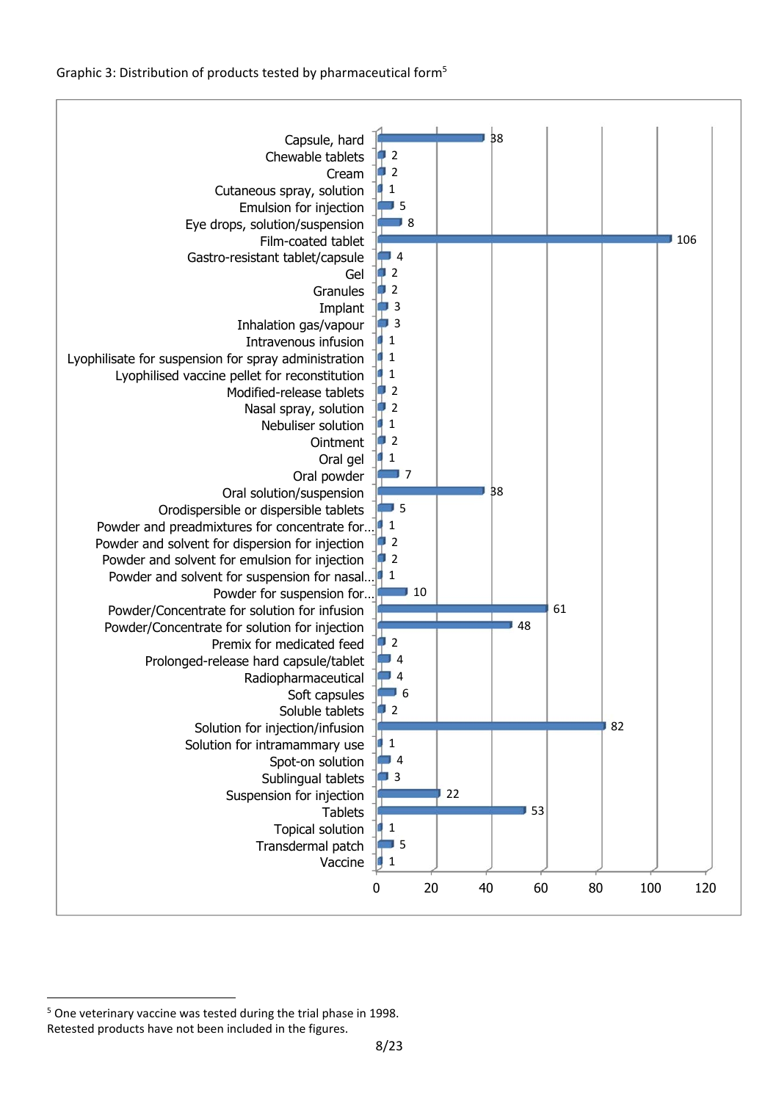Graphic 3: Distribution of products tested by pharmaceutical form5



**<sup>.</sup>** <sup>5</sup> One veterinary vaccine was tested during the trial phase in 1998. Retested products have not been included in the figures.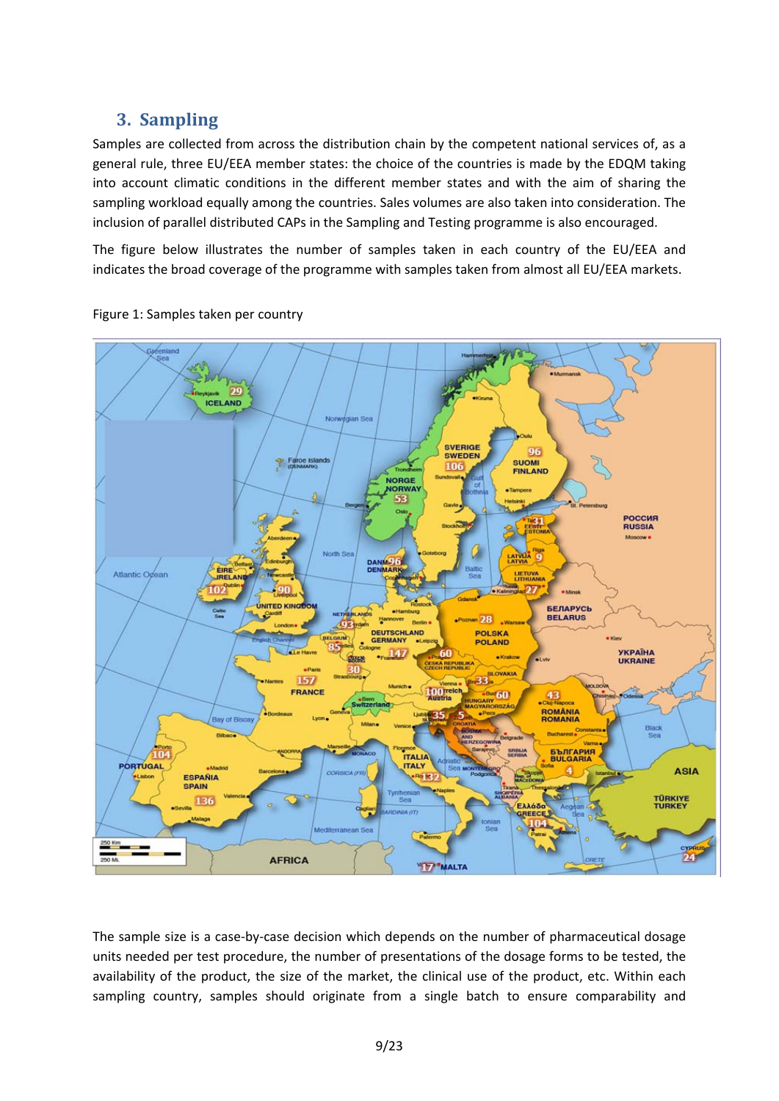# **3. Sampling**

Samples are collected from across the distribution chain by the competent national services of, as a general rule, three EU/EEA member states: the choice of the countries is made by the EDQM taking into account climatic conditions in the different member states and with the aim of sharing the sampling workload equally among the countries. Sales volumes are also taken into consideration. The inclusion of parallel distributed CAPs in the Sampling and Testing programme is also encouraged.

The figure below illustrates the number of samples taken in each country of the EU/EEA and indicates the broad coverage of the programme with samples taken from almost all EU/EEA markets.





The sample size is a case-by-case decision which depends on the number of pharmaceutical dosage units needed per test procedure, the number of presentations of the dosage forms to be tested, the availability of the product, the size of the market, the clinical use of the product, etc. Within each sampling country, samples should originate from a single batch to ensure comparability and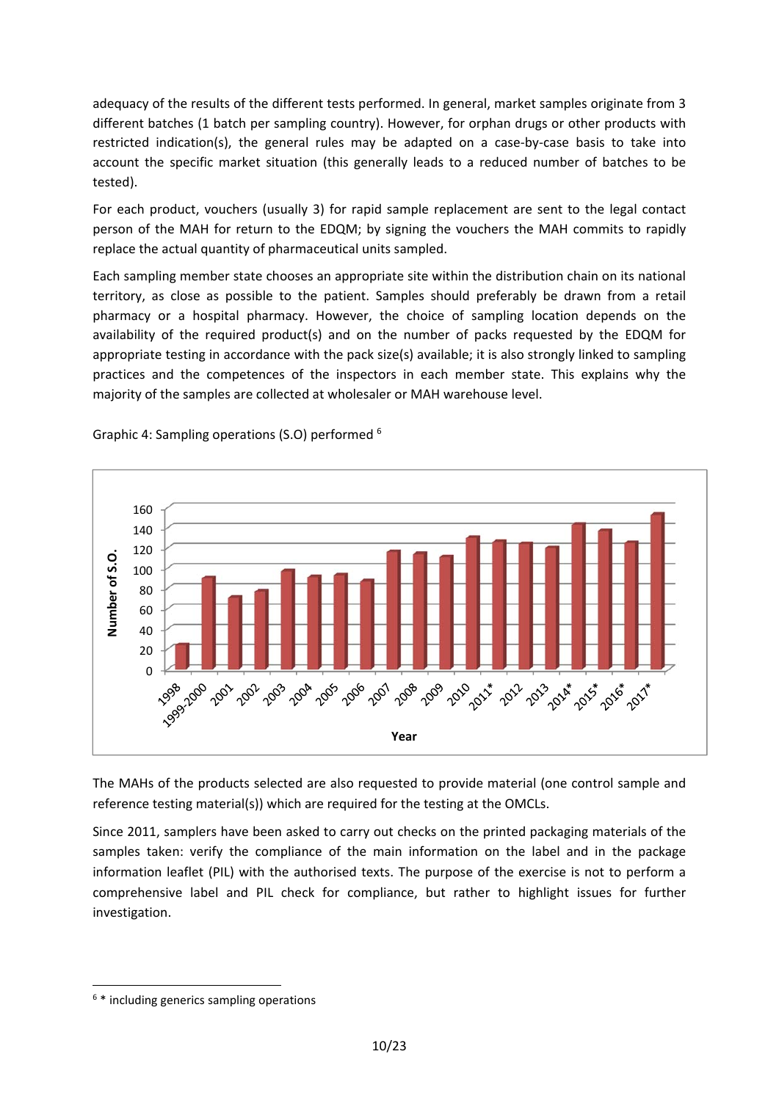adequacy of the results of the different tests performed. In general, market samples originate from 3 different batches (1 batch per sampling country). However, for orphan drugs or other products with restricted indication(s), the general rules may be adapted on a case-by-case basis to take into account the specific market situation (this generally leads to a reduced number of batches to be tested).

For each product, vouchers (usually 3) for rapid sample replacement are sent to the legal contact person of the MAH for return to the EDQM; by signing the vouchers the MAH commits to rapidly replace the actual quantity of pharmaceutical units sampled.

Each sampling member state chooses an appropriate site within the distribution chain on its national territory, as close as possible to the patient. Samples should preferably be drawn from a retail pharmacy or a hospital pharmacy. However, the choice of sampling location depends on the availability of the required product(s) and on the number of packs requested by the EDQM for appropriate testing in accordance with the pack size(s) available; it is also strongly linked to sampling practices and the competences of the inspectors in each member state. This explains why the majority of the samples are collected at wholesaler or MAH warehouse level.



Graphic 4: Sampling operations (S.O) performed 6

The MAHs of the products selected are also requested to provide material (one control sample and reference testing material(s)) which are required for the testing at the OMCLs.

Since 2011, samplers have been asked to carry out checks on the printed packaging materials of the samples taken: verify the compliance of the main information on the label and in the package information leaflet (PIL) with the authorised texts. The purpose of the exercise is not to perform a comprehensive label and PIL check for compliance, but rather to highlight issues for further investigation.

**.** 

<sup>6</sup> \* including generics sampling operations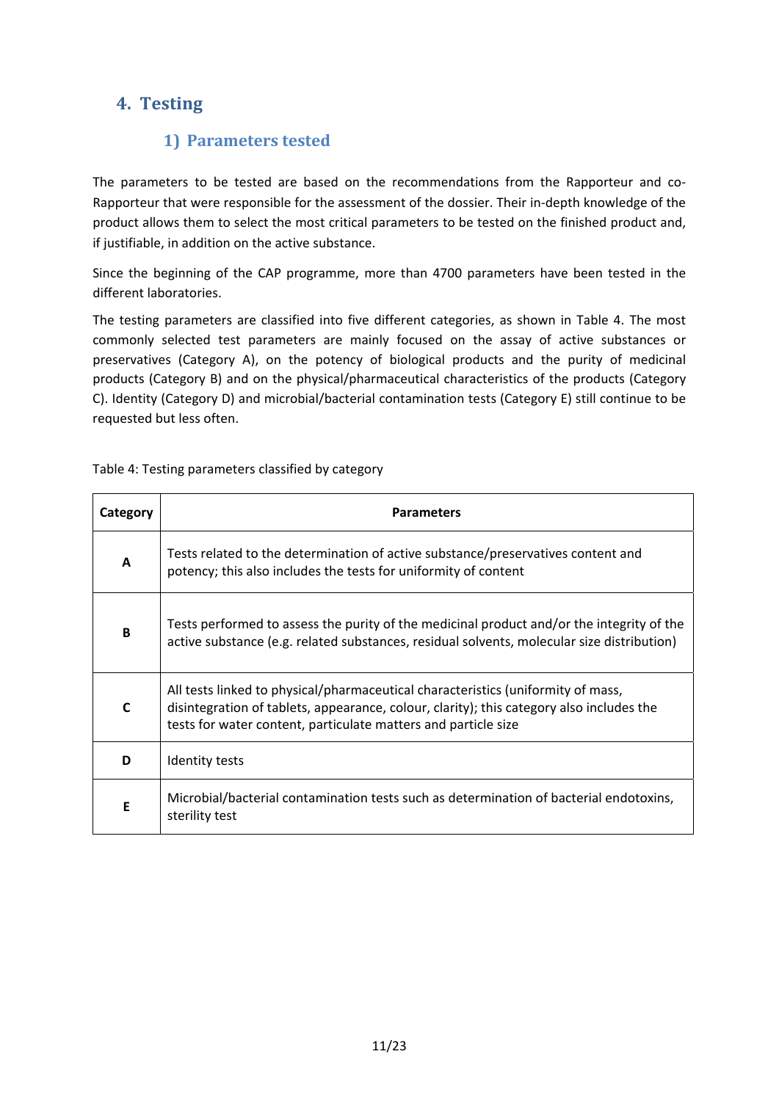# **4. Testing**

## **1) Parameters tested**

The parameters to be tested are based on the recommendations from the Rapporteur and co-Rapporteur that were responsible for the assessment of the dossier. Their in-depth knowledge of the product allows them to select the most critical parameters to be tested on the finished product and, if justifiable, in addition on the active substance.

Since the beginning of the CAP programme, more than 4700 parameters have been tested in the different laboratories.

The testing parameters are classified into five different categories, as shown in Table 4. The most commonly selected test parameters are mainly focused on the assay of active substances or preservatives (Category A), on the potency of biological products and the purity of medicinal products (Category B) and on the physical/pharmaceutical characteristics of the products (Category C). Identity (Category D) and microbial/bacterial contamination tests (Category E) still continue to be requested but less often.

#### Table 4: Testing parameters classified by category

| Category     | <b>Parameters</b>                                                                                                                                                                                                                              |
|--------------|------------------------------------------------------------------------------------------------------------------------------------------------------------------------------------------------------------------------------------------------|
| A            | Tests related to the determination of active substance/preservatives content and<br>potency; this also includes the tests for uniformity of content                                                                                            |
| <sub>R</sub> | Tests performed to assess the purity of the medicinal product and/or the integrity of the<br>active substance (e.g. related substances, residual solvents, molecular size distribution)                                                        |
| $\mathbf C$  | All tests linked to physical/pharmaceutical characteristics (uniformity of mass,<br>disintegration of tablets, appearance, colour, clarity); this category also includes the<br>tests for water content, particulate matters and particle size |
| D            | Identity tests                                                                                                                                                                                                                                 |
| E            | Microbial/bacterial contamination tests such as determination of bacterial endotoxins,<br>sterility test                                                                                                                                       |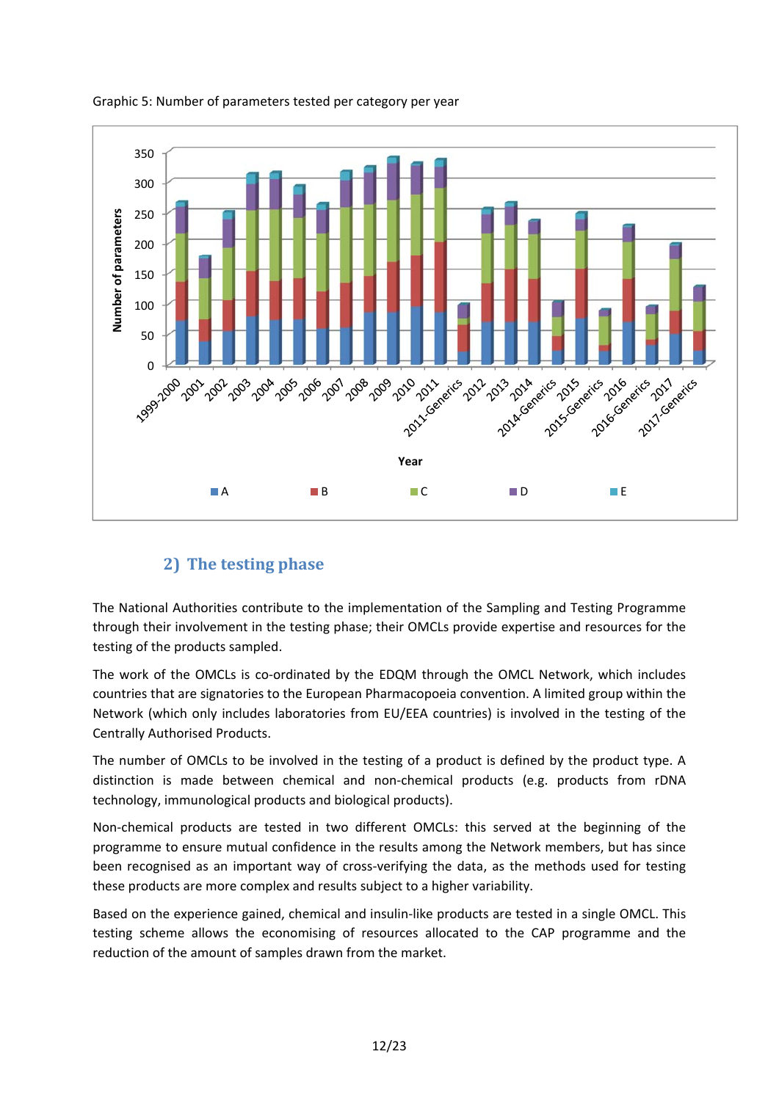

#### Graphic 5: Number of parameters tested per category per year

## **2) The testing phase**

The National Authorities contribute to the implementation of the Sampling and Testing Programme through their involvement in the testing phase; their OMCLs provide expertise and resources for the testing of the products sampled.

The work of the OMCLs is co-ordinated by the EDQM through the OMCL Network, which includes countries that are signatories to the European Pharmacopoeia convention. A limited group within the Network (which only includes laboratories from EU/EEA countries) is involved in the testing of the Centrally Authorised Products.

The number of OMCLs to be involved in the testing of a product is defined by the product type. A distinction is made between chemical and non-chemical products (e.g. products from rDNA technology, immunological products and biological products).

Non-chemical products are tested in two different OMCLs: this served at the beginning of the programme to ensure mutual confidence in the results among the Network members, but has since been recognised as an important way of cross-verifying the data, as the methods used for testing these products are more complex and results subject to a higher variability.

Based on the experience gained, chemical and insulin-like products are tested in a single OMCL. This testing scheme allows the economising of resources allocated to the CAP programme and the reduction of the amount of samples drawn from the market.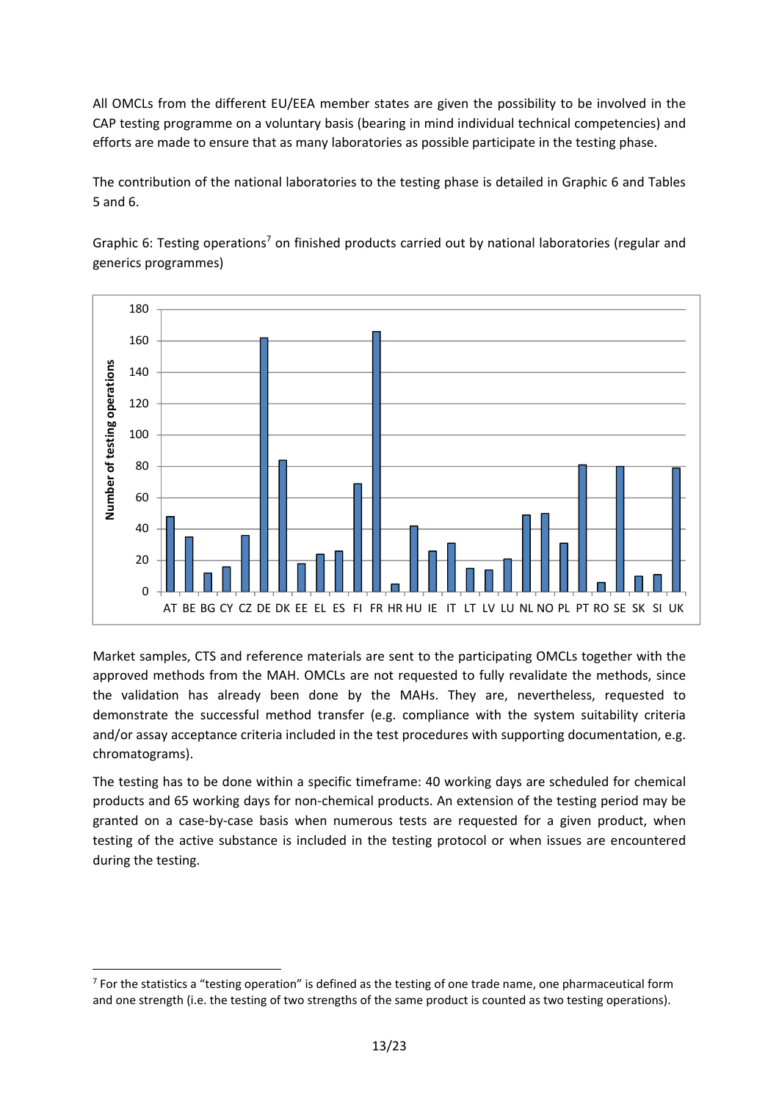All OMCLs from the different EU/EEA member states are given the possibility to be involved in the CAP testing programme on a voluntary basis (bearing in mind individual technical competencies) and efforts are made to ensure that as many laboratories as possible participate in the testing phase.

The contribution of the national laboratories to the testing phase is detailed in Graphic 6 and Tables 5 and 6.

180 160 Number of testing operations **Number of testing operations**140 120 100 80 60 40 20  $\Omega$ AT BE BG CY CZ DE DK EE EL ES FI FR HR HU IE IT LT LV LU NL NO PL PT RO SE SK SI UK

Graphic 6: Testing operations<sup>7</sup> on finished products carried out by national laboratories (regular and generics programmes)

Market samples, CTS and reference materials are sent to the participating OMCLs together with the approved methods from the MAH. OMCLs are not requested to fully revalidate the methods, since the validation has already been done by the MAHs. They are, nevertheless, requested to demonstrate the successful method transfer (e.g. compliance with the system suitability criteria and/or assay acceptance criteria included in the test procedures with supporting documentation, e.g. chromatograms).

The testing has to be done within a specific timeframe: 40 working days are scheduled for chemical products and 65 working days for non-chemical products. An extension of the testing period may be granted on a case-by-case basis when numerous tests are requested for a given product, when testing of the active substance is included in the testing protocol or when issues are encountered during the testing.

<sup>1</sup>  $7$  For the statistics a "testing operation" is defined as the testing of one trade name, one pharmaceutical form and one strength (i.e. the testing of two strengths of the same product is counted as two testing operations).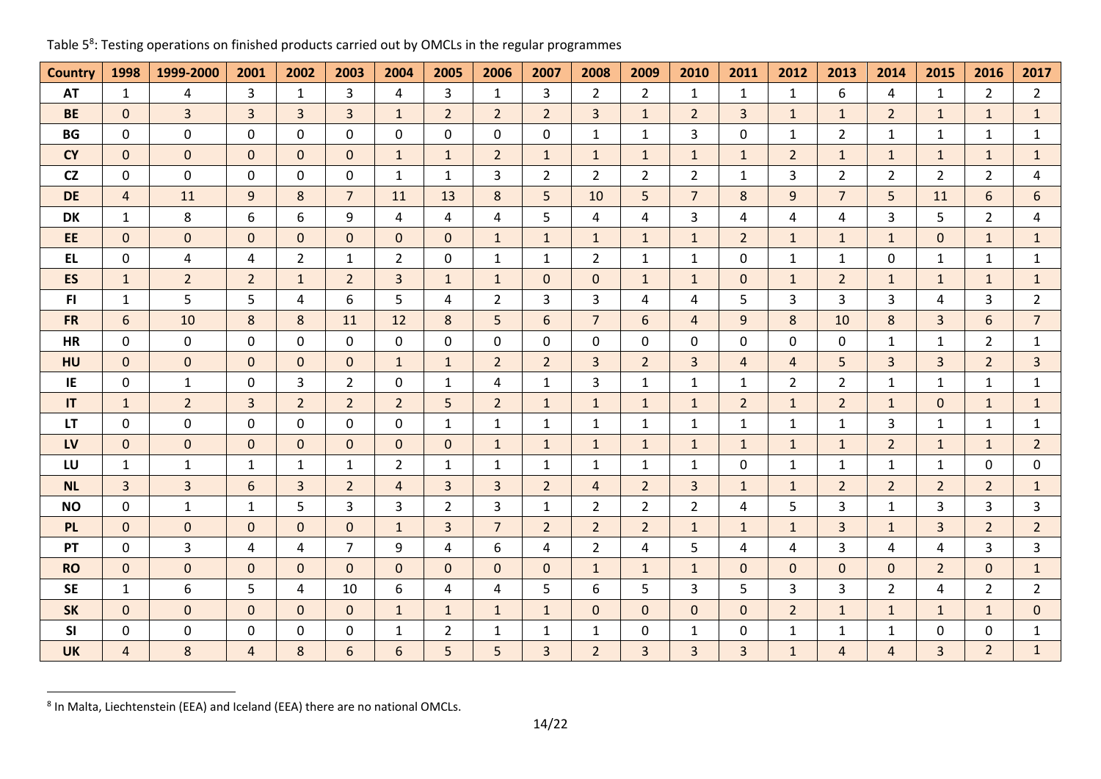| <b>Country</b> | 1998           | 1999-2000      | 2001           | 2002           | 2003           | 2004           | 2005           | 2006           | 2007           | 2008           | 2009           | 2010           | 2011           | 2012           | 2013           | 2014           | 2015           | 2016           | 2017           |
|----------------|----------------|----------------|----------------|----------------|----------------|----------------|----------------|----------------|----------------|----------------|----------------|----------------|----------------|----------------|----------------|----------------|----------------|----------------|----------------|
| <b>AT</b>      | 1              | $\overline{4}$ | 3              | $\mathbf{1}$   | $\mathbf{3}$   | 4              | 3              | $\mathbf{1}$   | $\mathbf{3}$   | $\overline{2}$ | $\overline{2}$ | $\mathbf{1}$   | $\mathbf{1}$   | $\mathbf{1}$   | 6              | $\overline{4}$ | $\mathbf{1}$   | $\overline{2}$ | $2^{\circ}$    |
| <b>BE</b>      | $\mathbf{0}$   | $\overline{3}$ | $\overline{3}$ | $\overline{3}$ | 3 <sup>1</sup> | $\mathbf{1}$   | $\overline{2}$ | $\overline{2}$ | $\overline{2}$ | $\overline{3}$ | $\mathbf{1}$   | 2 <sup>1</sup> | 3              | $\mathbf{1}$   | $\mathbf{1}$   | $\overline{2}$ | $\mathbf{1}$   | $\mathbf{1}$   | 1              |
| BG             | $\mathbf 0$    | 0              | 0              | 0              | 0              | 0              | 0              | 0              | 0              | $\mathbf{1}$   | $\mathbf{1}$   | 3              | 0              | $\mathbf{1}$   | $\overline{2}$ | $\mathbf{1}$   | $\mathbf{1}$   | $\mathbf{1}$   | $\mathbf{1}$   |
| <b>CY</b>      | $\mathbf{0}$   | $\mathbf{0}$   | $\Omega$       | $\Omega$       | $\Omega$       | $\mathbf{1}$   | $\mathbf{1}$   | $\overline{2}$ | $\mathbf{1}$   | $\mathbf{1}$   | $\mathbf{1}$   | $\mathbf{1}$   | $\mathbf{1}$   | $\overline{2}$ | $\mathbf{1}$   | $\mathbf{1}$   | 1              | $\mathbf{1}$   | 1              |
| <b>CZ</b>      | $\mathbf{0}$   | 0              | $\mathbf{0}$   | $\mathbf{0}$   | $\Omega$       | $\mathbf{1}$   | $\mathbf{1}$   | 3              | $\overline{2}$ | $\overline{2}$ | $\overline{2}$ | $2^{\circ}$    | 1              | 3              | $\overline{2}$ | $\overline{2}$ | $\mathbf{2}$   | $\overline{2}$ | 4              |
| <b>DE</b>      | $\overline{4}$ | 11             | 9              | 8              | $\overline{7}$ | 11             | 13             | 8              | 5              | 10             | 5              | $\overline{7}$ | 8              | 9              | $\overline{7}$ | 5              | 11             | 6              | 6              |
| DK             | $\mathbf{1}$   | 8              | 6              | 6              | 9              | 4              | 4              | 4              | 5              | 4              | 4              | 3              | 4              | 4              | 4              | 3              | 5              | $\overline{2}$ | 4              |
| EE             | $\mathbf 0$    | 0              | $\mathbf{0}$   | $\mathbf{0}$   | $\mathbf{0}$   | $\mathbf{0}$   | 0              | $\mathbf{1}$   | $\mathbf{1}$   | $\mathbf{1}$   | $\mathbf{1}$   | $\mathbf{1}$   | $\overline{2}$ | $\mathbf{1}$   | $\mathbf{1}$   | $\mathbf{1}$   | $\overline{0}$ | $\mathbf{1}$   | $\mathbf{1}$   |
| <b>EL</b>      | $\mathbf 0$    | 4              | 4              | $\overline{2}$ | $\mathbf{1}$   | $\overline{2}$ | 0              | $\mathbf{1}$   | $\mathbf{1}$   | $2^{\circ}$    | $\mathbf{1}$   | $\mathbf{1}$   | 0              | $\mathbf{1}$   | $\mathbf{1}$   | 0              | $\mathbf{1}$   | $\mathbf{1}$   | $\mathbf{1}$   |
| ES             | $\mathbf{1}$   | $\overline{2}$ | $\overline{2}$ | $\mathbf{1}$   | $\overline{2}$ | $\overline{3}$ | $\mathbf{1}$   | $\mathbf{1}$   | $\mathbf{0}$   | $\overline{0}$ | $\mathbf{1}$   | $\mathbf{1}$   | $\Omega$       | $\mathbf{1}$   | $\overline{2}$ | $\mathbf{1}$   | $\mathbf{1}$   | $\mathbf{1}$   | $\mathbf{1}$   |
| FI.            | $\mathbf{1}$   | 5              | 5              | 4              | 6              | 5              | 4              | $\overline{2}$ | $\overline{3}$ | 3              | 4              | 4              | 5              | 3              | 3              | 3              | 4              | 3              | $2^{\circ}$    |
| <b>FR</b>      | 6              | 10             | 8              | 8              | 11             | 12             | 8              | 5              | 6              | $\overline{7}$ | 6              | $\overline{4}$ | 9              | 8              | 10             | 8              | $\mathbf{3}$   | 6              | $\overline{7}$ |
| <b>HR</b>      | $\mathbf 0$    | $\mathbf 0$    | 0              | 0              | $\mathbf{0}$   | $\mathbf 0$    | 0              | $\Omega$       | 0              | 0              | 0              | 0              | 0              | 0              | 0              | $\mathbf{1}$   | $\mathbf{1}$   | $\overline{2}$ | $\mathbf{1}$   |
| HU             | $\mathbf{0}$   | $\overline{0}$ | $\mathbf 0$    | $\mathbf{0}$   | $\mathbf{0}$   | $\mathbf{1}$   | $\mathbf{1}$   | $\overline{2}$ | $\overline{2}$ | $\overline{3}$ | $\overline{2}$ | $\overline{3}$ | $\overline{4}$ | $\overline{4}$ | 5              | $\overline{3}$ | 3 <sup>1</sup> | $\overline{2}$ | $\overline{3}$ |
| IE             | 0              | $\mathbf{1}$   | 0              | 3              | $2^{\circ}$    | 0              | $\mathbf{1}$   | 4              | $\mathbf{1}$   | 3              | $\mathbf{1}$   | $\mathbf{1}$   | 1              | $\overline{2}$ | $\overline{2}$ | $\mathbf{1}$   | $\mathbf{1}$   | $\mathbf{1}$   | $\mathbf{1}$   |
| IT             | $\mathbf{1}$   | $2^{\circ}$    | $\overline{3}$ | $\overline{2}$ | $2^{\circ}$    | $\overline{2}$ | 5              | $\overline{2}$ | $\mathbf{1}$   | $\mathbf{1}$   | $\mathbf{1}$   | $\mathbf{1}$   | $\overline{2}$ | $\mathbf{1}$   | $\overline{2}$ | $\mathbf{1}$   | $\mathbf{0}$   | $\mathbf{1}$   | $\mathbf{1}$   |
| <b>LT</b>      | 0              | 0              | 0              | $\mathbf{0}$   | $\Omega$       | 0              | $\mathbf{1}$   | 1              | $\mathbf{1}$   | $\mathbf{1}$   | $\mathbf{1}$   | $\mathbf{1}$   | 1              | $\mathbf{1}$   | $\mathbf{1}$   | 3              | $\mathbf{1}$   | $\mathbf{1}$   | $\mathbf{1}$   |
| LV             | $\mathbf{0}$   | $\mathbf{0}$   | $\mathbf{0}$   | $\mathbf{0}$   | $\Omega$       | $\mathbf{0}$   | 0              | $\mathbf{1}$   | $\mathbf{1}$   | $\mathbf{1}$   | $\mathbf{1}$   | $\mathbf{1}$   | $\mathbf{1}$   | $\mathbf{1}$   | $\mathbf{1}$   | $\overline{2}$ | $\mathbf{1}$   | $\mathbf{1}$   | 2 <sup>2</sup> |
| LU             | $\mathbf{1}$   | $\mathbf{1}$   | 1              | 1              | $\mathbf{1}$   | $\overline{2}$ | $\mathbf{1}$   | 1              | 1              | $\mathbf{1}$   | $\mathbf{1}$   | $\mathbf{1}$   | 0              | $\mathbf{1}$   | $\mathbf{1}$   | $\mathbf{1}$   | $\mathbf{1}$   | 0              | 0              |
| NL             | $\overline{3}$ | $\overline{3}$ | 6              | $\overline{3}$ | $2^{\circ}$    | $\overline{a}$ | 3              | 3              | $\overline{2}$ | 4              | $\overline{2}$ | 3              | $\mathbf{1}$   | $\mathbf{1}$   | $\overline{2}$ | $\overline{2}$ | $\overline{2}$ | $\overline{2}$ | $\mathbf{1}$   |
| <b>NO</b>      | $\mathbf 0$    | $\mathbf{1}$   | $\mathbf{1}$   | 5              | $\mathbf{3}$   | 3              | $\overline{2}$ | 3              | $\mathbf{1}$   | $\overline{2}$ | $\overline{2}$ | $2^{\circ}$    | 4              | 5              | 3              | $\mathbf{1}$   | 3              | 3              | 3              |
| <b>PL</b>      | $\mathbf{0}$   | $\mathbf{0}$   | $\mathbf{0}$   | $\mathbf{0}$   | $\Omega$       | $\mathbf{1}$   | 3              | $\overline{7}$ | $\overline{2}$ | $2^{\circ}$    | $\overline{2}$ | $\mathbf{1}$   | $\mathbf{1}$   | $\mathbf{1}$   | 3              | $\mathbf{1}$   | $\mathbf{3}$   | $\overline{2}$ | 2 <sup>2</sup> |
| PT             | $\mathbf 0$    | 3              | 4              | 4              | $\overline{7}$ | 9              | 4              | 6              | 4              | $\overline{2}$ | 4              | 5              | 4              | 4              | 3              | 4              | 4              | 3              | $\mathbf{3}$   |
| <b>RO</b>      | $\mathbf{0}$   | $\mathbf{0}$   | $\mathbf{0}$   | $\mathbf{0}$   | $\Omega$       | $\mathbf{0}$   | 0              | $\Omega$       | $\mathbf{0}$   | $\mathbf{1}$   | $\mathbf{1}$   | $\mathbf{1}$   | $\mathbf{0}$   | $\mathbf{0}$   | $\Omega$       | $\mathbf{0}$   | $\overline{2}$ | $\mathbf{0}$   | $\mathbf{1}$   |
| <b>SE</b>      | $\mathbf{1}$   | 6              | 5              | 4              | 10             | 6              | 4              | $\overline{4}$ | 5              | 6              | 5              | 3              | 5              | $\overline{3}$ | 3              | $\overline{2}$ | 4              | $\overline{2}$ | $2^{\circ}$    |
| <b>SK</b>      | $\mathbf{0}$   | $\overline{0}$ | $\mathbf 0$    | $\mathbf{0}$   | $\mathbf{0}$   | $\mathbf{1}$   | 1              | $\mathbf{1}$   | $\mathbf{1}$   | $\mathbf{0}$   | $\mathbf{0}$   | $\mathbf{0}$   | $\mathbf 0$    | $\overline{2}$ | $\mathbf{1}$   | $\mathbf{1}$   | 1              | $\mathbf{1}$   | $\overline{0}$ |
| SI             | $\mathbf 0$    | 0              | $\mathbf 0$    | 0              | 0              | $\mathbf{1}$   | $\overline{2}$ | $\mathbf{1}$   | $\mathbf{1}$   | $\mathbf{1}$   | 0              | $\mathbf{1}$   | 0              | $\mathbf{1}$   | $\mathbf{1}$   | $\mathbf{1}$   | 0              | 0              | $\mathbf{1}$   |
| <b>UK</b>      | $\overline{4}$ | 8              | $\overline{4}$ | 8              | 6              | 6              | 5              | 5              | $\overline{3}$ | $2^{\circ}$    | $\overline{3}$ | $\overline{3}$ | 3              | $\mathbf{1}$   | $\overline{4}$ | $\overline{4}$ | $\overline{3}$ | $\overline{2}$ | 1              |

## Table 5<sup>8</sup>: Testing operations on finished products carried out by OMCLs in the regular programmes

<sup>8</sup> In Malta, Liechtenstein (EEA) and Iceland (EEA) there are no national OMCLs.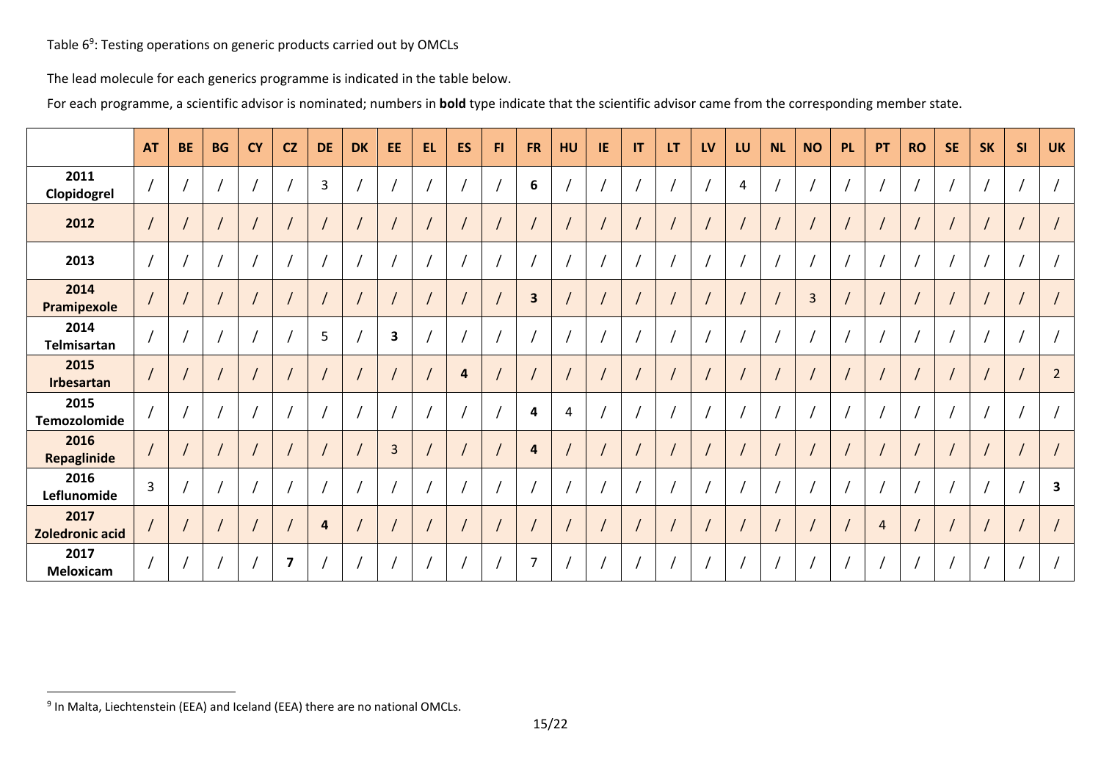Table 6<sup>9</sup>: Testing operations on generic products carried out by OMCLs

The lead molecule for each generics programme is indicated in the table below.

For each programme, a scientific advisor is nominated; numbers in **bold** type indicate that the scientific advisor came from the corresponding member state.

|                                | <b>AT</b>      | <b>BE</b>                | <b>BG</b> | <b>CY</b>                | CZ                      | <b>DE</b> | <b>DK</b> | EE                      | <b>EL</b> | <b>ES</b> | FI. | <b>FR</b>               | HU | IE | IT | LT | LV | LU             | <b>NL</b> | <b>NO</b>      | <b>PL</b> | PT             | <b>RO</b> | <b>SE</b> | <b>SK</b> | <b>SI</b> | <b>UK</b>      |
|--------------------------------|----------------|--------------------------|-----------|--------------------------|-------------------------|-----------|-----------|-------------------------|-----------|-----------|-----|-------------------------|----|----|----|----|----|----------------|-----------|----------------|-----------|----------------|-----------|-----------|-----------|-----------|----------------|
| 2011<br>Clopidogrel            |                |                          |           | $\overline{\phantom{a}}$ |                         | 3         |           |                         |           |           |     | 6                       |    |    |    |    |    | $\overline{a}$ |           |                |           |                |           |           |           |           |                |
| 2012                           |                |                          |           | $\prime$                 |                         |           |           | $\overline{1}$          |           |           |     | $\overline{1}$          |    |    |    |    |    |                |           |                |           |                |           |           |           |           |                |
| 2013                           |                |                          |           | $\sqrt{2}$               |                         |           |           |                         |           |           |     |                         |    |    |    |    |    |                |           |                |           |                |           |           |           |           |                |
| 2014<br>Pramipexole            |                |                          |           | $\overline{1}$           |                         |           |           |                         |           |           |     | $\overline{\mathbf{3}}$ |    |    |    |    |    |                |           | $\overline{3}$ |           | $\prime$       |           |           |           |           |                |
| 2014<br>Telmisartan            |                |                          |           | $\sqrt{2}$               |                         | 5         |           | $\overline{\mathbf{3}}$ |           |           |     | $\prime$                |    |    |    |    |    |                |           |                |           |                |           |           |           |           |                |
| 2015<br>Irbesartan             |                |                          |           | $\prime$                 |                         |           |           |                         |           | 4         |     |                         |    |    |    |    |    |                |           |                |           |                |           |           |           |           | $\overline{2}$ |
| 2015<br>Temozolomide           |                |                          |           | $\overline{1}$           |                         |           |           |                         |           |           |     | $\overline{\mathbf{4}}$ | 4  |    |    |    |    |                |           |                |           |                |           |           |           |           |                |
| 2016<br>Repaglinide            |                |                          |           | $\prime$                 |                         |           |           | $\overline{3}$          |           |           |     | $\overline{\mathbf{a}}$ |    |    |    |    |    |                |           |                |           |                |           |           |           |           |                |
| 2016<br>Leflunomide            | $\overline{3}$ |                          |           | $\overline{1}$           |                         |           |           |                         |           |           |     |                         |    |    |    |    |    |                |           |                |           |                |           |           |           |           | 3              |
| 2017<br><b>Zoledronic acid</b> |                |                          |           | $\overline{1}$           |                         | 4         |           |                         |           |           |     |                         |    |    |    |    |    |                |           |                |           | $\overline{4}$ |           |           |           |           |                |
| 2017<br>Meloxicam              |                | $\overline{\phantom{a}}$ |           |                          | $\overline{\mathbf{z}}$ |           |           |                         |           |           |     | $\overline{7}$          |    |    |    |    |    |                |           |                |           |                |           |           |           |           |                |

<sup>&</sup>lt;sup>9</sup> In Malta, Liechtenstein (EEA) and Iceland (EEA) there are no national OMCLs.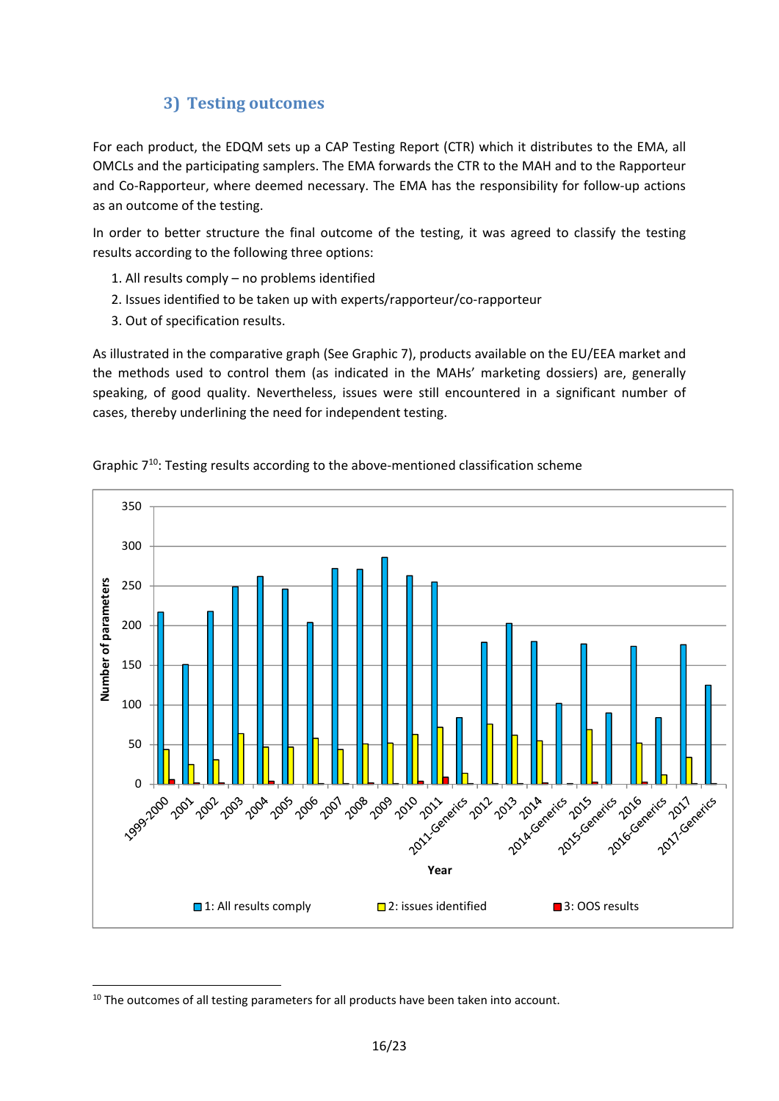## **3) Testing outcomes**

For each product, the EDQM sets up a CAP Testing Report (CTR) which it distributes to the EMA, all OMCLs and the participating samplers. The EMA forwards the CTR to the MAH and to the Rapporteur and Co-Rapporteur, where deemed necessary. The EMA has the responsibility for follow-up actions as an outcome of the testing.

In order to better structure the final outcome of the testing, it was agreed to classify the testing results according to the following three options:

- 1. All results comply no problems identified
- 2. Issues identified to be taken up with experts/rapporteur/co-rapporteur
- 3. Out of specification results.

As illustrated in the comparative graph (See Graphic 7), products available on the EU/EEA market and the methods used to control them (as indicated in the MAHs' marketing dossiers) are, generally speaking, of good quality. Nevertheless, issues were still encountered in a significant number of cases, thereby underlining the need for independent testing.





**.** 

<sup>&</sup>lt;sup>10</sup> The outcomes of all testing parameters for all products have been taken into account.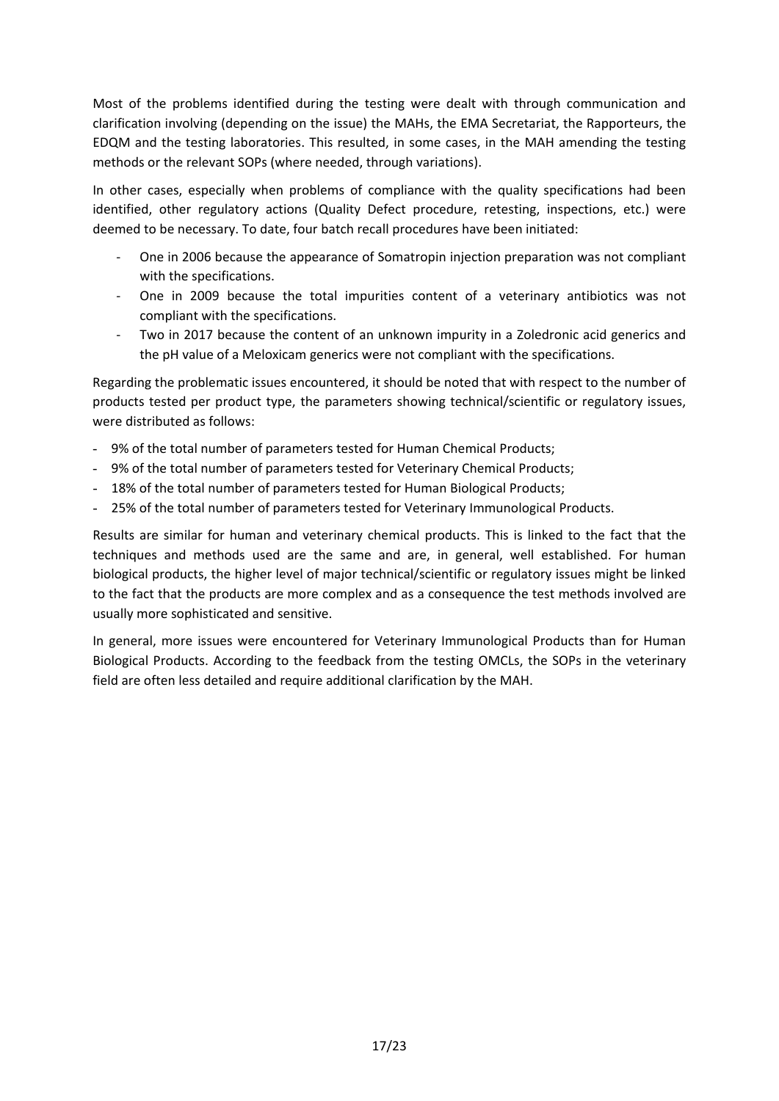Most of the problems identified during the testing were dealt with through communication and clarification involving (depending on the issue) the MAHs, the EMA Secretariat, the Rapporteurs, the EDQM and the testing laboratories. This resulted, in some cases, in the MAH amending the testing methods or the relevant SOPs (where needed, through variations).

In other cases, especially when problems of compliance with the quality specifications had been identified, other regulatory actions (Quality Defect procedure, retesting, inspections, etc.) were deemed to be necessary. To date, four batch recall procedures have been initiated:

- One in 2006 because the appearance of Somatropin injection preparation was not compliant with the specifications.
- One in 2009 because the total impurities content of a veterinary antibiotics was not compliant with the specifications.
- Two in 2017 because the content of an unknown impurity in a Zoledronic acid generics and the pH value of a Meloxicam generics were not compliant with the specifications.

Regarding the problematic issues encountered, it should be noted that with respect to the number of products tested per product type, the parameters showing technical/scientific or regulatory issues, were distributed as follows:

- 9% of the total number of parameters tested for Human Chemical Products;
- 9% of the total number of parameters tested for Veterinary Chemical Products;
- 18% of the total number of parameters tested for Human Biological Products;
- 25% of the total number of parameters tested for Veterinary Immunological Products.

Results are similar for human and veterinary chemical products. This is linked to the fact that the techniques and methods used are the same and are, in general, well established. For human biological products, the higher level of major technical/scientific or regulatory issues might be linked to the fact that the products are more complex and as a consequence the test methods involved are usually more sophisticated and sensitive.

In general, more issues were encountered for Veterinary Immunological Products than for Human Biological Products. According to the feedback from the testing OMCLs, the SOPs in the veterinary field are often less detailed and require additional clarification by the MAH.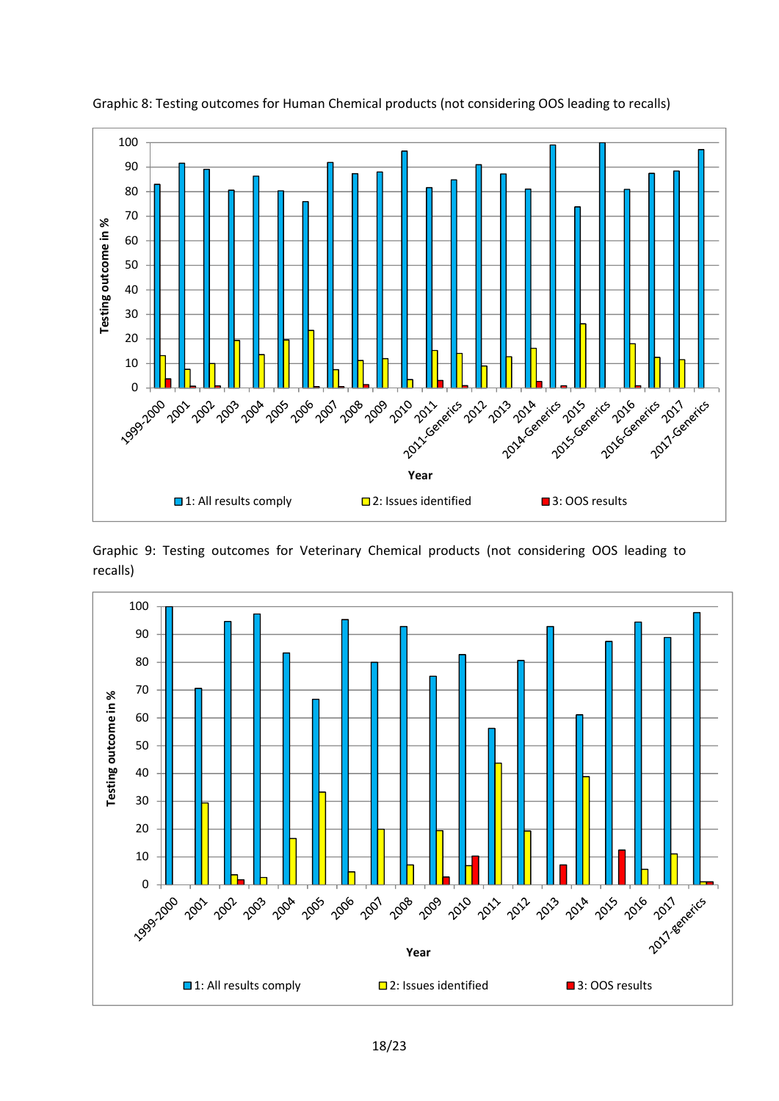

Graphic 8: Testing outcomes for Human Chemical products (not considering OOS leading to recalls)

Graphic 9: Testing outcomes for Veterinary Chemical products (not considering OOS leading to recalls)

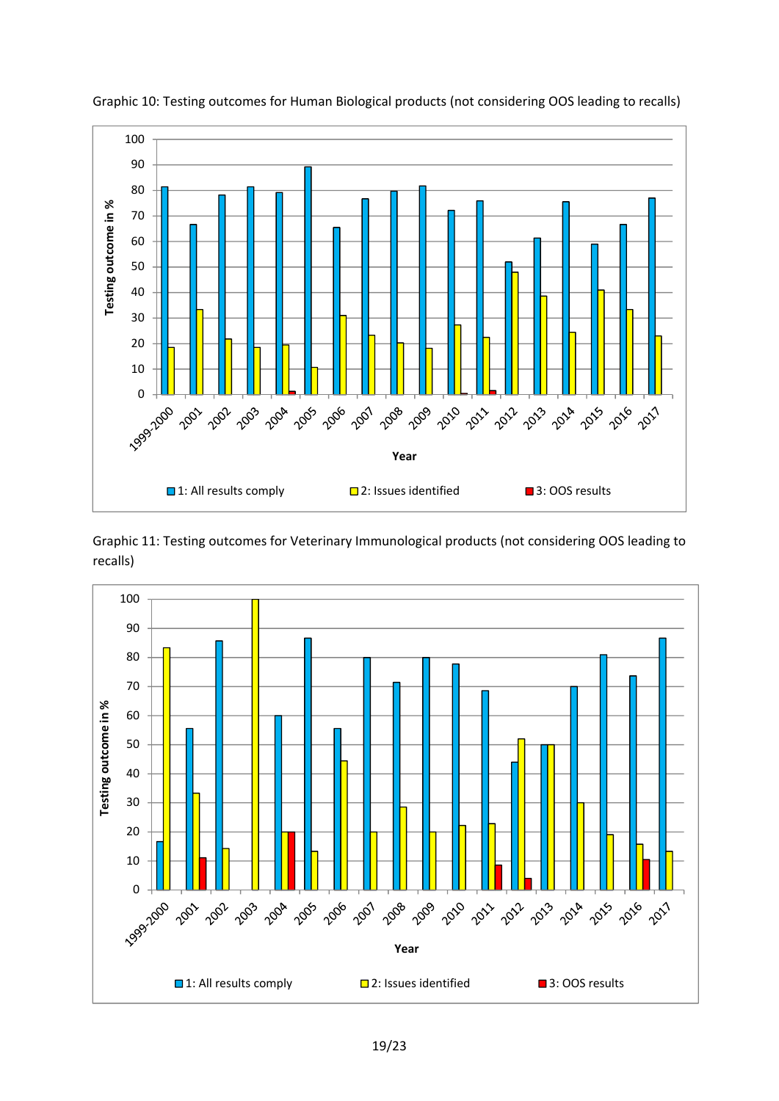

Graphic 10: Testing outcomes for Human Biological products (not considering OOS leading to recalls)

Graphic 11: Testing outcomes for Veterinary Immunological products (not considering OOS leading to recalls)

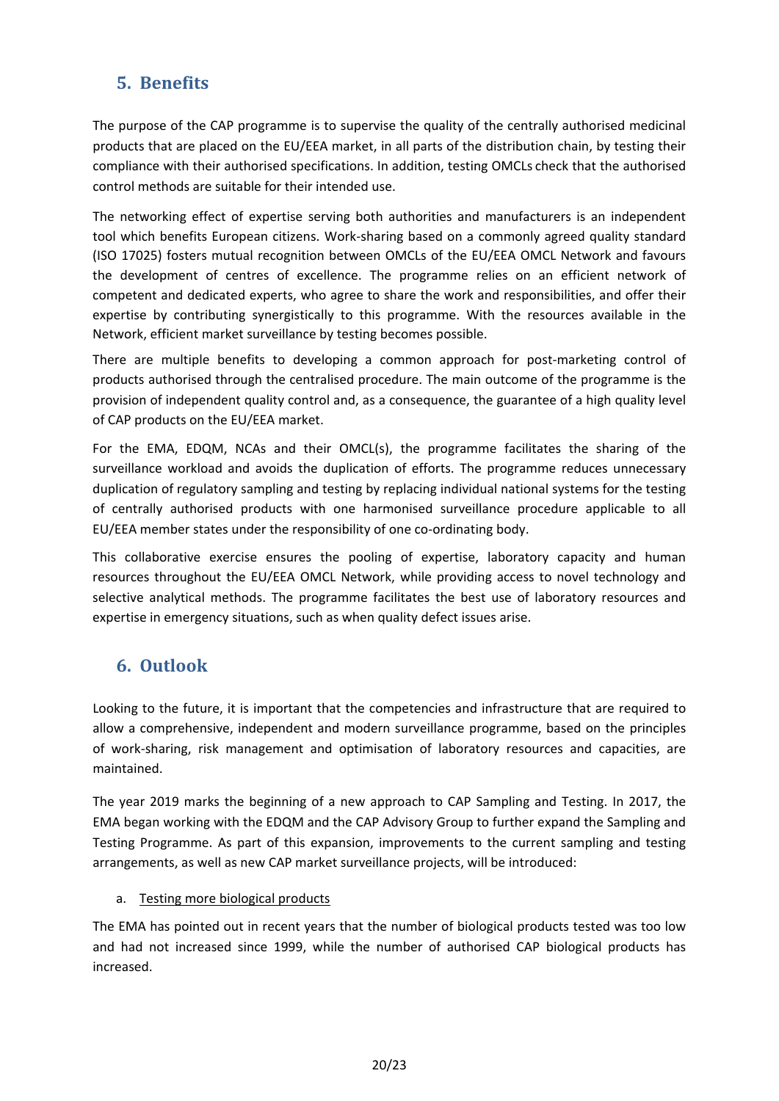# **5. Benefits**

The purpose of the CAP programme is to supervise the quality of the centrally authorised medicinal products that are placed on the EU/EEA market, in all parts of the distribution chain, by testing their compliance with their authorised specifications. In addition, testing OMCLs check that the authorised control methods are suitable for their intended use.

The networking effect of expertise serving both authorities and manufacturers is an independent tool which benefits European citizens. Work-sharing based on a commonly agreed quality standard (ISO 17025) fosters mutual recognition between OMCLs of the EU/EEA OMCL Network and favours the development of centres of excellence. The programme relies on an efficient network of competent and dedicated experts, who agree to share the work and responsibilities, and offer their expertise by contributing synergistically to this programme. With the resources available in the Network, efficient market surveillance by testing becomes possible.

There are multiple benefits to developing a common approach for post-marketing control of products authorised through the centralised procedure. The main outcome of the programme is the provision of independent quality control and, as a consequence, the guarantee of a high quality level of CAP products on the EU/EEA market.

For the EMA, EDQM, NCAs and their OMCL(s), the programme facilitates the sharing of the surveillance workload and avoids the duplication of efforts. The programme reduces unnecessary duplication of regulatory sampling and testing by replacing individual national systems for the testing of centrally authorised products with one harmonised surveillance procedure applicable to all EU/EEA member states under the responsibility of one co-ordinating body.

This collaborative exercise ensures the pooling of expertise, laboratory capacity and human resources throughout the EU/EEA OMCL Network, while providing access to novel technology and selective analytical methods. The programme facilitates the best use of laboratory resources and expertise in emergency situations, such as when quality defect issues arise.

# **6. Outlook**

Looking to the future, it is important that the competencies and infrastructure that are required to allow a comprehensive, independent and modern surveillance programme, based on the principles of work-sharing, risk management and optimisation of laboratory resources and capacities, are maintained.

The year 2019 marks the beginning of a new approach to CAP Sampling and Testing. In 2017, the EMA began working with the EDQM and the CAP Advisory Group to further expand the Sampling and Testing Programme. As part of this expansion, improvements to the current sampling and testing arrangements, as well as new CAP market surveillance projects, will be introduced:

#### a. Testing more biological products

The EMA has pointed out in recent years that the number of biological products tested was too low and had not increased since 1999, while the number of authorised CAP biological products has increased.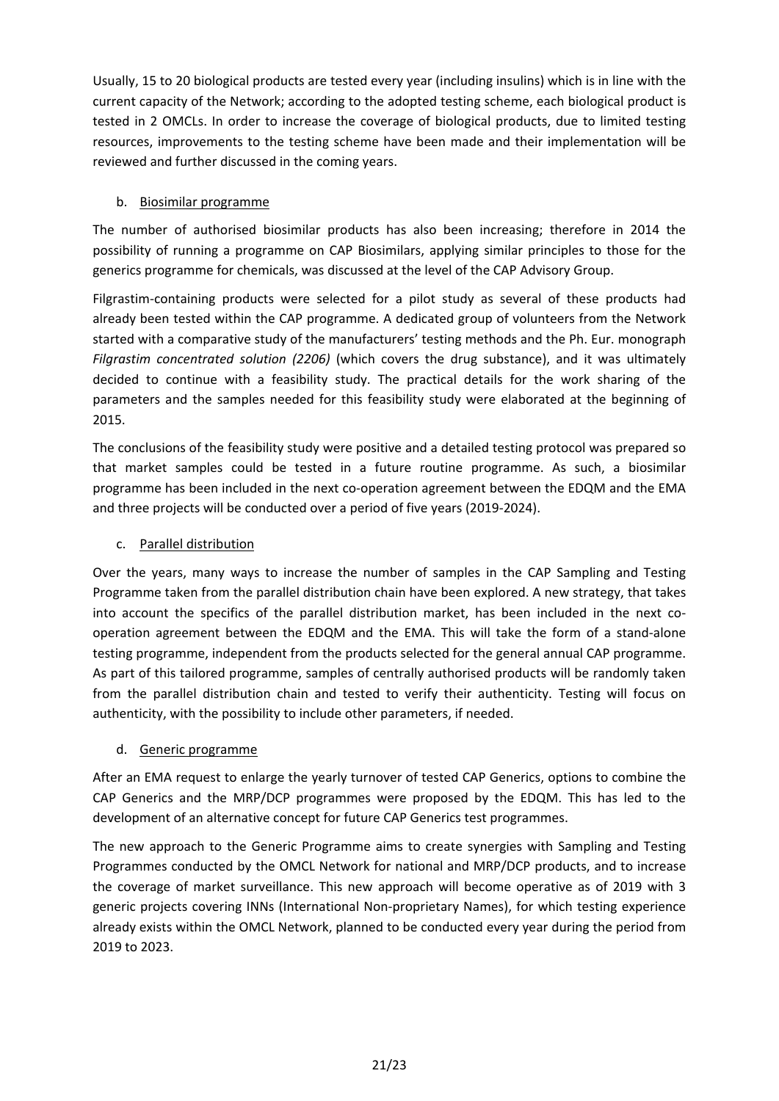Usually, 15 to 20 biological products are tested every year (including insulins) which is in line with the current capacity of the Network; according to the adopted testing scheme, each biological product is tested in 2 OMCLs. In order to increase the coverage of biological products, due to limited testing resources, improvements to the testing scheme have been made and their implementation will be reviewed and further discussed in the coming years.

#### b. Biosimilar programme

The number of authorised biosimilar products has also been increasing; therefore in 2014 the possibility of running a programme on CAP Biosimilars, applying similar principles to those for the generics programme for chemicals, was discussed at the level of the CAP Advisory Group.

Filgrastim-containing products were selected for a pilot study as several of these products had already been tested within the CAP programme. A dedicated group of volunteers from the Network started with a comparative study of the manufacturers' testing methods and the Ph. Eur. monograph *Filgrastim concentrated solution (2206)* (which covers the drug substance), and it was ultimately decided to continue with a feasibility study. The practical details for the work sharing of the parameters and the samples needed for this feasibility study were elaborated at the beginning of 2015.

The conclusions of the feasibility study were positive and a detailed testing protocol was prepared so that market samples could be tested in a future routine programme. As such, a biosimilar programme has been included in the next co-operation agreement between the EDQM and the EMA and three projects will be conducted over a period of five years (2019-2024).

#### c. Parallel distribution

Over the years, many ways to increase the number of samples in the CAP Sampling and Testing Programme taken from the parallel distribution chain have been explored. A new strategy, that takes into account the specifics of the parallel distribution market, has been included in the next cooperation agreement between the EDQM and the EMA. This will take the form of a stand-alone testing programme, independent from the products selected for the general annual CAP programme. As part of this tailored programme, samples of centrally authorised products will be randomly taken from the parallel distribution chain and tested to verify their authenticity. Testing will focus on authenticity, with the possibility to include other parameters, if needed.

#### d. Generic programme

After an EMA request to enlarge the yearly turnover of tested CAP Generics, options to combine the CAP Generics and the MRP/DCP programmes were proposed by the EDQM. This has led to the development of an alternative concept for future CAP Generics test programmes.

The new approach to the Generic Programme aims to create synergies with Sampling and Testing Programmes conducted by the OMCL Network for national and MRP/DCP products, and to increase the coverage of market surveillance. This new approach will become operative as of 2019 with 3 generic projects covering INNs (International Non-proprietary Names), for which testing experience already exists within the OMCL Network, planned to be conducted every year during the period from 2019 to 2023.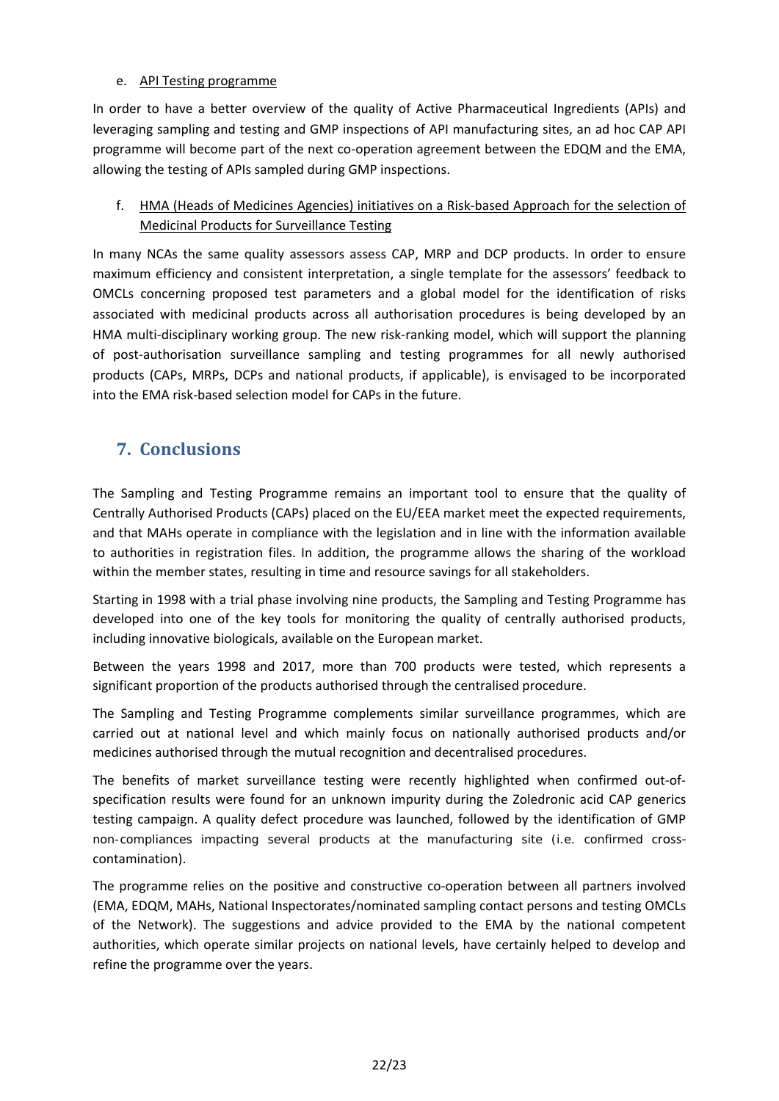#### e. API Testing programme

In order to have a better overview of the quality of Active Pharmaceutical Ingredients (APIs) and leveraging sampling and testing and GMP inspections of API manufacturing sites, an ad hoc CAP API programme will become part of the next co-operation agreement between the EDQM and the EMA, allowing the testing of APIs sampled during GMP inspections.

### f. HMA (Heads of Medicines Agencies) initiatives on a Risk-based Approach for the selection of Medicinal Products for Surveillance Testing

In many NCAs the same quality assessors assess CAP, MRP and DCP products. In order to ensure maximum efficiency and consistent interpretation, a single template for the assessors' feedback to OMCLs concerning proposed test parameters and a global model for the identification of risks associated with medicinal products across all authorisation procedures is being developed by an HMA multi-disciplinary working group. The new risk-ranking model, which will support the planning of post-authorisation surveillance sampling and testing programmes for all newly authorised products (CAPs, MRPs, DCPs and national products, if applicable), is envisaged to be incorporated into the EMA risk-based selection model for CAPs in the future.

## **7. Conclusions**

The Sampling and Testing Programme remains an important tool to ensure that the quality of Centrally Authorised Products (CAPs) placed on the EU/EEA market meet the expected requirements, and that MAHs operate in compliance with the legislation and in line with the information available to authorities in registration files. In addition, the programme allows the sharing of the workload within the member states, resulting in time and resource savings for all stakeholders.

Starting in 1998 with a trial phase involving nine products, the Sampling and Testing Programme has developed into one of the key tools for monitoring the quality of centrally authorised products, including innovative biologicals, available on the European market.

Between the years 1998 and 2017, more than 700 products were tested, which represents a significant proportion of the products authorised through the centralised procedure.

The Sampling and Testing Programme complements similar surveillance programmes, which are carried out at national level and which mainly focus on nationally authorised products and/or medicines authorised through the mutual recognition and decentralised procedures.

The benefits of market surveillance testing were recently highlighted when confirmed out-ofspecification results were found for an unknown impurity during the Zoledronic acid CAP generics testing campaign. A quality defect procedure was launched, followed by the identification of GMP non-compliances impacting several products at the manufacturing site (i.e. confirmed crosscontamination).

The programme relies on the positive and constructive co-operation between all partners involved (EMA, EDQM, MAHs, National Inspectorates/nominated sampling contact persons and testing OMCLs of the Network). The suggestions and advice provided to the EMA by the national competent authorities, which operate similar projects on national levels, have certainly helped to develop and refine the programme over the years.